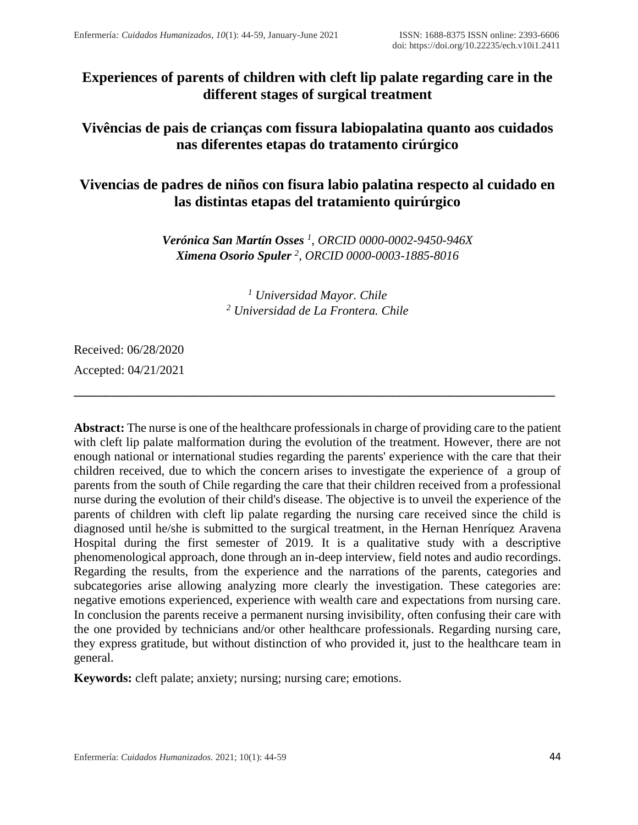# **Experiences of parents of children with cleft lip palate regarding care in the different stages of surgical treatment**

## **Vivências de pais de crianças com fissura labiopalatina quanto aos cuidados nas diferentes etapas do tratamento cirúrgico**

## **Vivencias de padres de niños con fisura labio palatina respecto al cuidado en las distintas etapas del tratamiento quirúrgico**

*Verónica San Martín Osses <sup>1</sup> , ORCID 0000-0002-9450-946X Ximena Osorio Spuler <sup>2</sup> , ORCID 0000-0003-1885-8016*

> *<sup>1</sup> Universidad Mayor. Chile <sup>2</sup> Universidad de La Frontera. Chile*

**\_\_\_\_\_\_\_\_\_\_\_\_\_\_\_\_\_\_\_\_\_\_\_\_\_\_\_\_\_\_\_\_\_\_\_\_\_\_\_\_\_\_\_\_\_\_\_\_\_\_\_\_\_\_\_\_\_\_\_\_\_\_\_\_\_\_\_\_\_\_\_\_\_\_\_\_\_**

Received: 06/28/2020

Accepted: 04/21/2021

**Abstract:** The nurse is one of the healthcare professionals in charge of providing care to the patient with cleft lip palate malformation during the evolution of the treatment. However, there are not enough national or international studies regarding the parents' experience with the care that their children received, due to which the concern arises to investigate the experience of a group of parents from the south of Chile regarding the care that their children received from a professional nurse during the evolution of their child's disease. The objective is to unveil the experience of the parents of children with cleft lip palate regarding the nursing care received since the child is diagnosed until he/she is submitted to the surgical treatment, in the Hernan Henríquez Aravena Hospital during the first semester of 2019. It is a qualitative study with a descriptive phenomenological approach, done through an in-deep interview, field notes and audio recordings. Regarding the results, from the experience and the narrations of the parents, categories and subcategories arise allowing analyzing more clearly the investigation. These categories are: negative emotions experienced, experience with wealth care and expectations from nursing care. In conclusion the parents receive a permanent nursing invisibility, often confusing their care with the one provided by technicians and/or other healthcare professionals. Regarding nursing care, they express gratitude, but without distinction of who provided it, just to the healthcare team in general.

**Keywords:** cleft palate; anxiety; nursing; nursing care; emotions.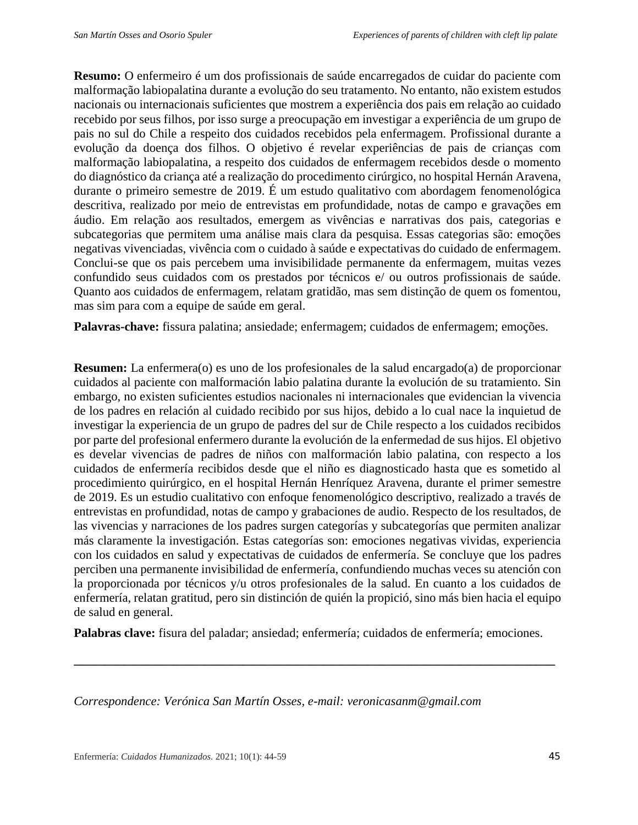**Resumo:** O enfermeiro é um dos profissionais de saúde encarregados de cuidar do paciente com malformação labiopalatina durante a evolução do seu tratamento. No entanto, não existem estudos nacionais ou internacionais suficientes que mostrem a experiência dos pais em relação ao cuidado recebido por seus filhos, por isso surge a preocupação em investigar a experiência de um grupo de pais no sul do Chile a respeito dos cuidados recebidos pela enfermagem. Profissional durante a evolução da doença dos filhos. O objetivo é revelar experiências de pais de crianças com malformação labiopalatina, a respeito dos cuidados de enfermagem recebidos desde o momento do diagnóstico da criança até a realização do procedimento cirúrgico, no hospital Hernán Aravena, durante o primeiro semestre de 2019. É um estudo qualitativo com abordagem fenomenológica descritiva, realizado por meio de entrevistas em profundidade, notas de campo e gravações em áudio. Em relação aos resultados, emergem as vivências e narrativas dos pais, categorias e subcategorias que permitem uma análise mais clara da pesquisa. Essas categorias são: emoções negativas vivenciadas, vivência com o cuidado à saúde e expectativas do cuidado de enfermagem. Conclui-se que os pais percebem uma invisibilidade permanente da enfermagem, muitas vezes confundido seus cuidados com os prestados por técnicos e/ ou outros profissionais de saúde. Quanto aos cuidados de enfermagem, relatam gratidão, mas sem distinção de quem os fomentou, mas sim para com a equipe de saúde em geral.

**Palavras-chave:** fissura palatina; ansiedade; enfermagem; cuidados de enfermagem; emoções.

**Resumen:** La enfermera(o) es uno de los profesionales de la salud encargado(a) de proporcionar cuidados al paciente con malformación labio palatina durante la evolución de su tratamiento. Sin embargo, no existen suficientes estudios nacionales ni internacionales que evidencian la vivencia de los padres en relación al cuidado recibido por sus hijos, debido a lo cual nace la inquietud de investigar la experiencia de un grupo de padres del sur de Chile respecto a los cuidados recibidos por parte del profesional enfermero durante la evolución de la enfermedad de sus hijos. El objetivo es develar vivencias de padres de niños con malformación labio palatina, con respecto a los cuidados de enfermería recibidos desde que el niño es diagnosticado hasta que es sometido al procedimiento quirúrgico, en el hospital Hernán Henríquez Aravena, durante el primer semestre de 2019. Es un estudio cualitativo con enfoque fenomenológico descriptivo, realizado a través de entrevistas en profundidad, notas de campo y grabaciones de audio. Respecto de los resultados, de las vivencias y narraciones de los padres surgen categorías y subcategorías que permiten analizar más claramente la investigación. Estas categorías son: emociones negativas vividas, experiencia con los cuidados en salud y expectativas de cuidados de enfermería. Se concluye que los padres perciben una permanente invisibilidad de enfermería, confundiendo muchas veces su atención con la proporcionada por técnicos y/u otros profesionales de la salud. En cuanto a los cuidados de enfermería, relatan gratitud, pero sin distinción de quién la propició, sino más bien hacia el equipo de salud en general.

**Palabras clave:** fisura del paladar; ansiedad; enfermería; cuidados de enfermería; emociones.

**\_\_\_\_\_\_\_\_\_\_\_\_\_\_\_\_\_\_\_\_\_\_\_\_\_\_\_\_\_\_\_\_\_\_\_\_\_\_\_\_\_\_\_\_\_\_\_\_\_\_\_\_\_\_\_\_\_\_\_\_\_\_\_\_\_\_\_\_\_\_\_\_\_\_\_\_\_**

*Correspondence: Verónica San Martín Osses, e-mail: veronicasanm@gmail.com*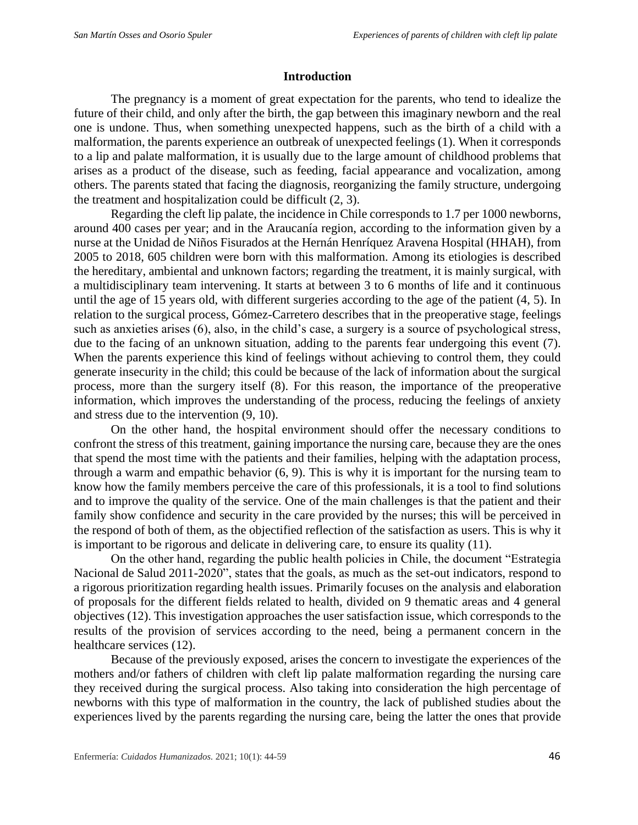## **Introduction**

The pregnancy is a moment of great expectation for the parents, who tend to idealize the future of their child, and only after the birth, the gap between this imaginary newborn and the real one is undone. Thus, when something unexpected happens, such as the birth of a child with a malformation, the parents experience an outbreak of unexpected feelings (1). When it corresponds to a lip and palate malformation, it is usually due to the large amount of childhood problems that arises as a product of the disease, such as feeding, facial appearance and vocalization, among others. The parents stated that facing the diagnosis, reorganizing the family structure, undergoing the treatment and hospitalization could be difficult (2, 3).

Regarding the cleft lip palate, the incidence in Chile corresponds to 1.7 per 1000 newborns, around 400 cases per year; and in the Araucanía region, according to the information given by a nurse at the Unidad de Niños Fisurados at the Hernán Henríquez Aravena Hospital (HHAH), from 2005 to 2018, 605 children were born with this malformation. Among its etiologies is described the hereditary, ambiental and unknown factors; regarding the treatment, it is mainly surgical, with a multidisciplinary team intervening. It starts at between 3 to 6 months of life and it continuous until the age of 15 years old, with different surgeries according to the age of the patient (4, 5). In relation to the surgical process, Gómez-Carretero describes that in the preoperative stage, feelings such as anxieties arises (6), also, in the child's case, a surgery is a source of psychological stress, due to the facing of an unknown situation, adding to the parents fear undergoing this event (7). When the parents experience this kind of feelings without achieving to control them, they could generate insecurity in the child; this could be because of the lack of information about the surgical process, more than the surgery itself (8). For this reason, the importance of the preoperative information, which improves the understanding of the process, reducing the feelings of anxiety and stress due to the intervention (9, 10).

On the other hand, the hospital environment should offer the necessary conditions to confront the stress of this treatment, gaining importance the nursing care, because they are the ones that spend the most time with the patients and their families, helping with the adaptation process, through a warm and empathic behavior (6, 9). This is why it is important for the nursing team to know how the family members perceive the care of this professionals, it is a tool to find solutions and to improve the quality of the service. One of the main challenges is that the patient and their family show confidence and security in the care provided by the nurses; this will be perceived in the respond of both of them, as the objectified reflection of the satisfaction as users. This is why it is important to be rigorous and delicate in delivering care, to ensure its quality (11).

On the other hand, regarding the public health policies in Chile, the document "Estrategia Nacional de Salud 2011-2020", states that the goals, as much as the set-out indicators, respond to a rigorous prioritization regarding health issues. Primarily focuses on the analysis and elaboration of proposals for the different fields related to health, divided on 9 thematic areas and 4 general objectives (12). This investigation approaches the user satisfaction issue, which corresponds to the results of the provision of services according to the need, being a permanent concern in the healthcare services (12).

Because of the previously exposed, arises the concern to investigate the experiences of the mothers and/or fathers of children with cleft lip palate malformation regarding the nursing care they received during the surgical process. Also taking into consideration the high percentage of newborns with this type of malformation in the country, the lack of published studies about the experiences lived by the parents regarding the nursing care, being the latter the ones that provide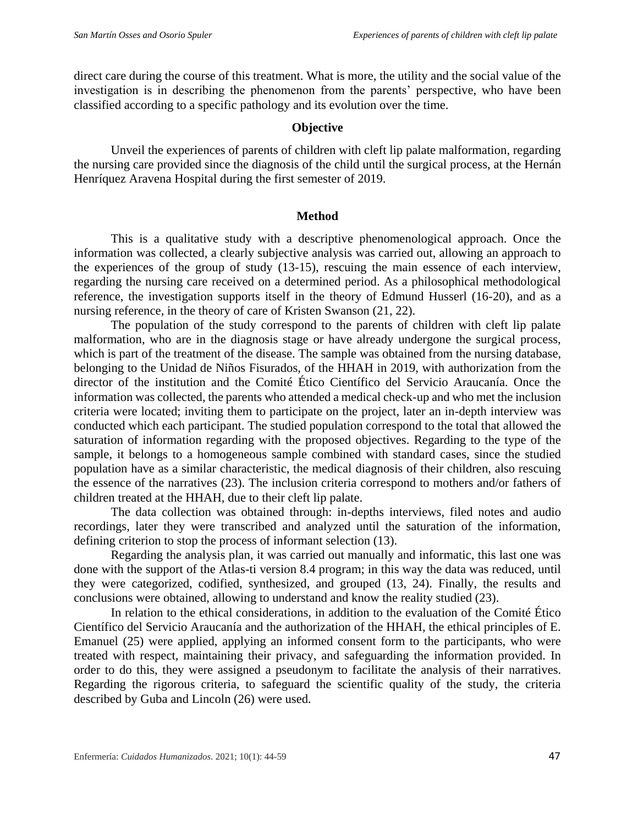direct care during the course of this treatment. What is more, the utility and the social value of the investigation is in describing the phenomenon from the parents' perspective, who have been classified according to a specific pathology and its evolution over the time.

## **Objective**

Unveil the experiences of parents of children with cleft lip palate malformation, regarding the nursing care provided since the diagnosis of the child until the surgical process, at the Hernán Henríquez Aravena Hospital during the first semester of 2019.

### **Method**

This is a qualitative study with a descriptive phenomenological approach. Once the information was collected, a clearly subjective analysis was carried out, allowing an approach to the experiences of the group of study (13-15), rescuing the main essence of each interview, regarding the nursing care received on a determined period. As a philosophical methodological reference, the investigation supports itself in the theory of Edmund Husserl (16-20), and as a nursing reference, in the theory of care of Kristen Swanson (21, 22).

The population of the study correspond to the parents of children with cleft lip palate malformation, who are in the diagnosis stage or have already undergone the surgical process, which is part of the treatment of the disease. The sample was obtained from the nursing database, belonging to the Unidad de Niños Fisurados, of the HHAH in 2019, with authorization from the director of the institution and the Comité Ético Científico del Servicio Araucanía. Once the information was collected, the parents who attended a medical check-up and who met the inclusion criteria were located; inviting them to participate on the project, later an in-depth interview was conducted which each participant. The studied population correspond to the total that allowed the saturation of information regarding with the proposed objectives. Regarding to the type of the sample, it belongs to a homogeneous sample combined with standard cases, since the studied population have as a similar characteristic, the medical diagnosis of their children, also rescuing the essence of the narratives (23). The inclusion criteria correspond to mothers and/or fathers of children treated at the HHAH, due to their cleft lip palate.

The data collection was obtained through: in-depths interviews, filed notes and audio recordings, later they were transcribed and analyzed until the saturation of the information, defining criterion to stop the process of informant selection (13).

Regarding the analysis plan, it was carried out manually and informatic, this last one was done with the support of the Atlas-ti version 8.4 program; in this way the data was reduced, until they were categorized, codified, synthesized, and grouped (13, 24). Finally, the results and conclusions were obtained, allowing to understand and know the reality studied (23).

In relation to the ethical considerations, in addition to the evaluation of the Comité Ético Científico del Servicio Araucanía and the authorization of the HHAH, the ethical principles of E. Emanuel (25) were applied, applying an informed consent form to the participants, who were treated with respect, maintaining their privacy, and safeguarding the information provided. In order to do this, they were assigned a pseudonym to facilitate the analysis of their narratives. Regarding the rigorous criteria, to safeguard the scientific quality of the study, the criteria described by Guba and Lincoln (26) were used.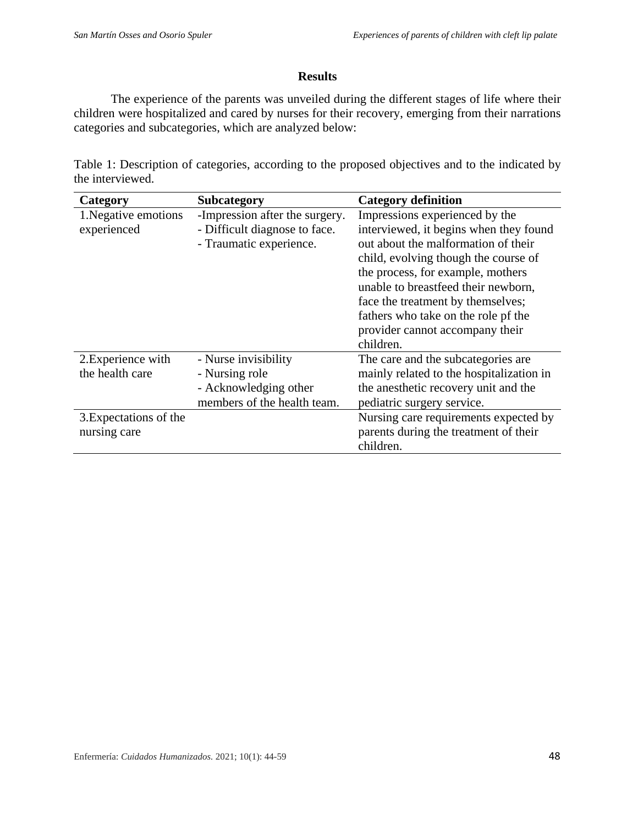## **Results**

The experience of the parents was unveiled during the different stages of life where their children were hospitalized and cared by nurses for their recovery, emerging from their narrations categories and subcategories, which are analyzed below:

Table 1: Description of categories, according to the proposed objectives and to the indicated by the interviewed.

| Category               | Subcategory                    | <b>Category definition</b>               |
|------------------------|--------------------------------|------------------------------------------|
| 1. Negative emotions   | -Impression after the surgery. | Impressions experienced by the           |
| experienced            | - Difficult diagnose to face.  | interviewed, it begins when they found   |
|                        | - Traumatic experience.        | out about the malformation of their      |
|                        |                                | child, evolving though the course of     |
|                        |                                | the process, for example, mothers        |
|                        |                                | unable to breastfeed their newborn,      |
|                        |                                | face the treatment by themselves;        |
|                        |                                | fathers who take on the role pf the      |
|                        |                                | provider cannot accompany their          |
|                        |                                | children.                                |
| 2. Experience with     | - Nurse invisibility           | The care and the subcategories are.      |
| the health care        | - Nursing role                 | mainly related to the hospitalization in |
|                        | - Acknowledging other          | the anesthetic recovery unit and the     |
|                        | members of the health team.    | pediatric surgery service.               |
| 3. Expectations of the |                                | Nursing care requirements expected by    |
| nursing care           |                                | parents during the treatment of their    |
|                        |                                | children.                                |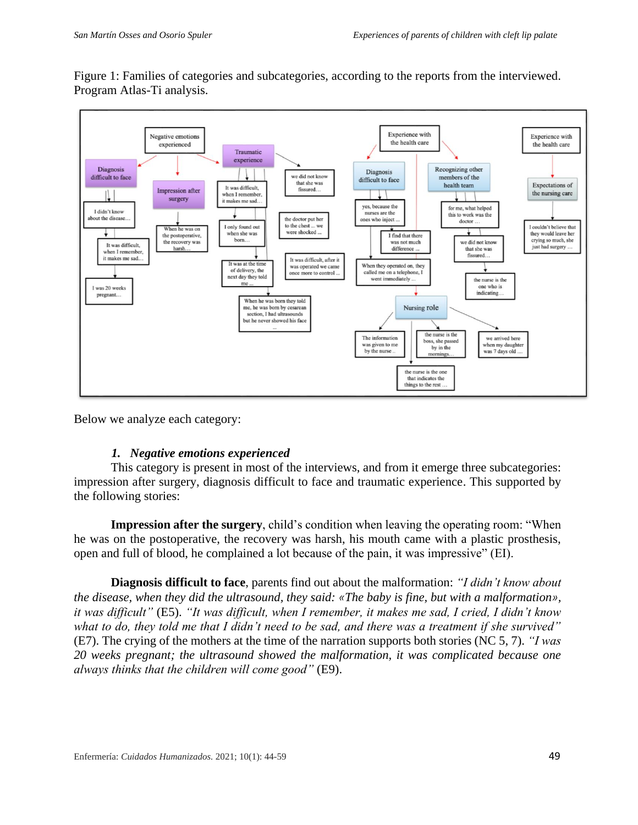Figure 1: Families of categories and subcategories, according to the reports from the interviewed. Program Atlas-Ti analysis.



Below we analyze each category:

## *1. Negative emotions experienced*

This category is present in most of the interviews, and from it emerge three subcategories: impression after surgery, diagnosis difficult to face and traumatic experience. This supported by the following stories:

**Impression after the surgery**, child's condition when leaving the operating room: "When he was on the postoperative, the recovery was harsh, his mouth came with a plastic prosthesis, open and full of blood, he complained a lot because of the pain, it was impressive" (EI).

**Diagnosis difficult to face**, parents find out about the malformation: *"I didn't know about the disease, when they did the ultrasound, they said: «The baby is fine, but with a malformation», it was difficult"* (E5). *"It was difficult, when I remember, it makes me sad, I cried, I didn't know what to do, they told me that I didn't need to be sad, and there was a treatment if she survived"*  (E7). The crying of the mothers at the time of the narration supports both stories (NC 5, 7). *"I was 20 weeks pregnant; the ultrasound showed the malformation, it was complicated because one always thinks that the children will come good"* (E9).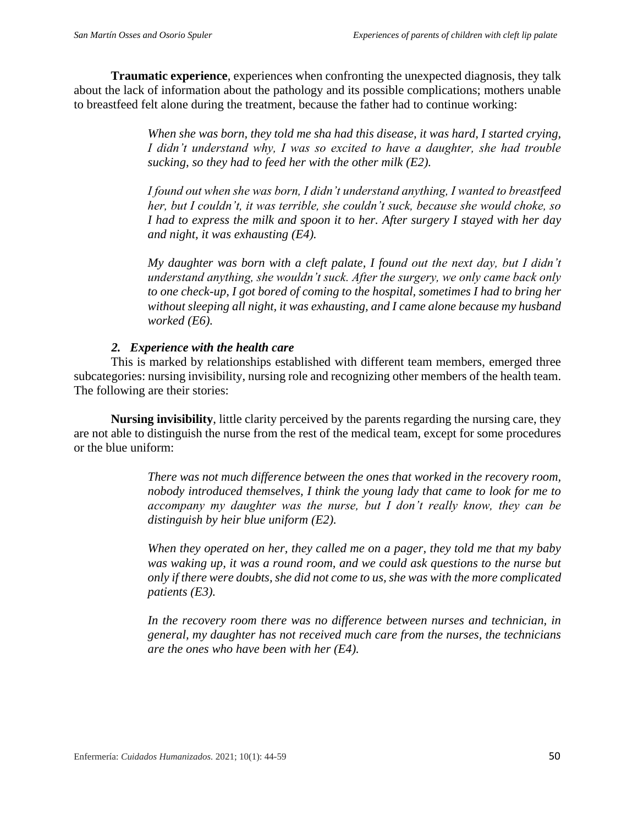**Traumatic experience**, experiences when confronting the unexpected diagnosis, they talk about the lack of information about the pathology and its possible complications; mothers unable to breastfeed felt alone during the treatment, because the father had to continue working:

> *When she was born, they told me sha had this disease, it was hard, I started crying, I didn't understand why, I was so excited to have a daughter, she had trouble sucking, so they had to feed her with the other milk (E2).*

> *I found out when she was born, I didn't understand anything, I wanted to breastfeed her, but I couldn't, it was terrible, she couldn't suck, because she would choke, so I had to express the milk and spoon it to her. After surgery I stayed with her day and night, it was exhausting (E4).*

> *My daughter was born with a cleft palate, I found out the next day, but I didn't understand anything, she wouldn't suck. After the surgery, we only came back only to one check-up, I got bored of coming to the hospital, sometimes I had to bring her without sleeping all night, it was exhausting, and I came alone because my husband worked (E6).*

## *2. Experience with the health care*

This is marked by relationships established with different team members, emerged three subcategories: nursing invisibility, nursing role and recognizing other members of the health team. The following are their stories:

**Nursing invisibility**, little clarity perceived by the parents regarding the nursing care, they are not able to distinguish the nurse from the rest of the medical team, except for some procedures or the blue uniform:

> *There was not much difference between the ones that worked in the recovery room, nobody introduced themselves, I think the young lady that came to look for me to accompany my daughter was the nurse, but I don't really know, they can be distinguish by heir blue uniform (E2).*

> *When they operated on her, they called me on a pager, they told me that my baby was waking up, it was a round room, and we could ask questions to the nurse but only if there were doubts, she did not come to us, she was with the more complicated patients (E3).*

> *In the recovery room there was no difference between nurses and technician, in general, my daughter has not received much care from the nurses, the technicians are the ones who have been with her (E4).*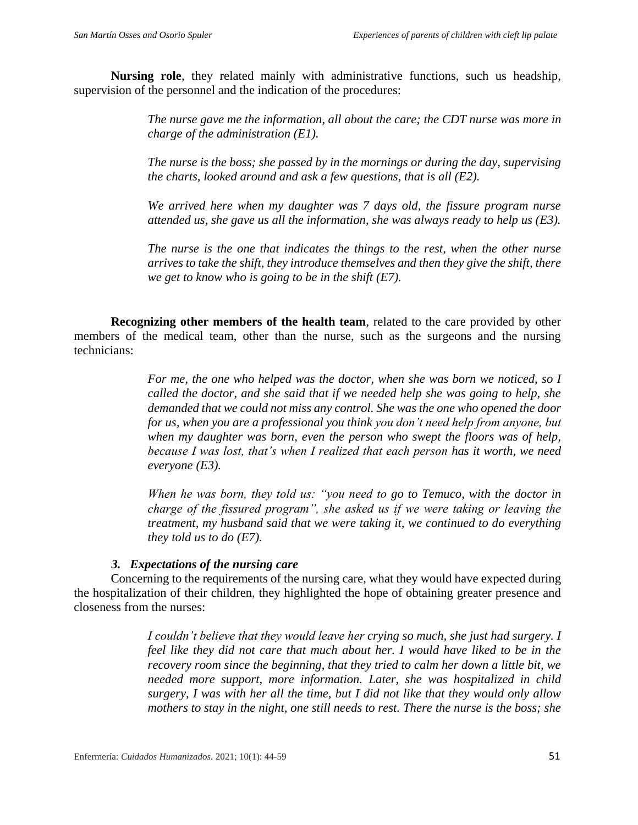**Nursing role**, they related mainly with administrative functions, such us headship, supervision of the personnel and the indication of the procedures:

> *The nurse gave me the information, all about the care; the CDT nurse was more in charge of the administration (E1).*

> *The nurse is the boss; she passed by in the mornings or during the day, supervising the charts, looked around and ask a few questions, that is all (E2).*

> *We arrived here when my daughter was 7 days old, the fissure program nurse attended us, she gave us all the information, she was always ready to help us (E3).*

> *The nurse is the one that indicates the things to the rest, when the other nurse arrives to take the shift, they introduce themselves and then they give the shift, there we get to know who is going to be in the shift (E7).*

**Recognizing other members of the health team**, related to the care provided by other members of the medical team, other than the nurse, such as the surgeons and the nursing technicians:

> *For me, the one who helped was the doctor, when she was born we noticed, so I called the doctor, and she said that if we needed help she was going to help, she demanded that we could not miss any control. She was the one who opened the door for us, when you are a professional you think you don't need help from anyone, but when my daughter was born, even the person who swept the floors was of help, because I was lost, that's when I realized that each person has it worth, we need everyone (E3).*

> *When he was born, they told us: "you need to go to Temuco, with the doctor in charge of the fissured program", she asked us if we were taking or leaving the treatment, my husband said that we were taking it, we continued to do everything they told us to do (E7).*

## *3. Expectations of the nursing care*

Concerning to the requirements of the nursing care, what they would have expected during the hospitalization of their children, they highlighted the hope of obtaining greater presence and closeness from the nurses:

> *I couldn't believe that they would leave her crying so much, she just had surgery. I feel like they did not care that much about her. I would have liked to be in the recovery room since the beginning, that they tried to calm her down a little bit, we needed more support, more information. Later, she was hospitalized in child surgery, I was with her all the time, but I did not like that they would only allow mothers to stay in the night, one still needs to rest. There the nurse is the boss; she*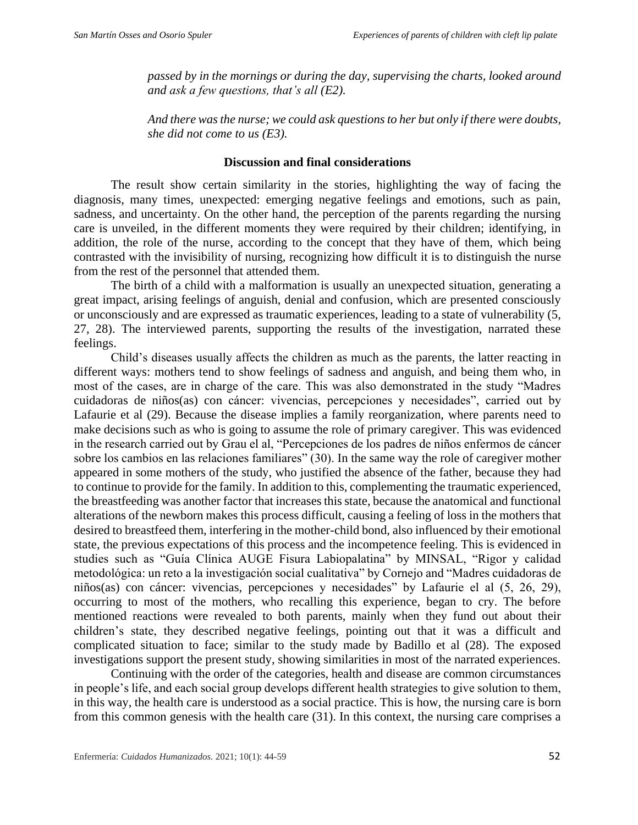*passed by in the mornings or during the day, supervising the charts, looked around and ask a few questions, that's all (E2).*

*And there was the nurse; we could ask questions to her but only if there were doubts, she did not come to us (E3).*

#### **Discussion and final considerations**

The result show certain similarity in the stories, highlighting the way of facing the diagnosis, many times, unexpected: emerging negative feelings and emotions, such as pain, sadness, and uncertainty. On the other hand, the perception of the parents regarding the nursing care is unveiled, in the different moments they were required by their children; identifying, in addition, the role of the nurse, according to the concept that they have of them, which being contrasted with the invisibility of nursing, recognizing how difficult it is to distinguish the nurse from the rest of the personnel that attended them.

The birth of a child with a malformation is usually an unexpected situation, generating a great impact, arising feelings of anguish, denial and confusion, which are presented consciously or unconsciously and are expressed as traumatic experiences, leading to a state of vulnerability (5, 27, 28). The interviewed parents, supporting the results of the investigation, narrated these feelings.

Child's diseases usually affects the children as much as the parents, the latter reacting in different ways: mothers tend to show feelings of sadness and anguish, and being them who, in most of the cases, are in charge of the care. This was also demonstrated in the study "Madres cuidadoras de niños(as) con cáncer: vivencias, percepciones y necesidades", carried out by Lafaurie et al (29). Because the disease implies a family reorganization, where parents need to make decisions such as who is going to assume the role of primary caregiver. This was evidenced in the research carried out by Grau el al, "Percepciones de los padres de niños enfermos de cáncer sobre los cambios en las relaciones familiares" (30). In the same way the role of caregiver mother appeared in some mothers of the study, who justified the absence of the father, because they had to continue to provide for the family. In addition to this, complementing the traumatic experienced, the breastfeeding was another factor that increases this state, because the anatomical and functional alterations of the newborn makes this process difficult, causing a feeling of loss in the mothers that desired to breastfeed them, interfering in the mother-child bond, also influenced by their emotional state, the previous expectations of this process and the incompetence feeling. This is evidenced in studies such as "Guía Clínica AUGE Fisura Labiopalatina" by MINSAL, "Rigor y calidad metodológica: un reto a la investigación social cualitativa" by Cornejo and "Madres cuidadoras de niños(as) con cáncer: vivencias, percepciones y necesidades" by Lafaurie el al (5, 26, 29), occurring to most of the mothers, who recalling this experience, began to cry. The before mentioned reactions were revealed to both parents, mainly when they fund out about their children's state, they described negative feelings, pointing out that it was a difficult and complicated situation to face; similar to the study made by Badillo et al (28). The exposed investigations support the present study, showing similarities in most of the narrated experiences.

Continuing with the order of the categories, health and disease are common circumstances in people's life, and each social group develops different health strategies to give solution to them, in this way, the health care is understood as a social practice. This is how, the nursing care is born from this common genesis with the health care (31). In this context, the nursing care comprises a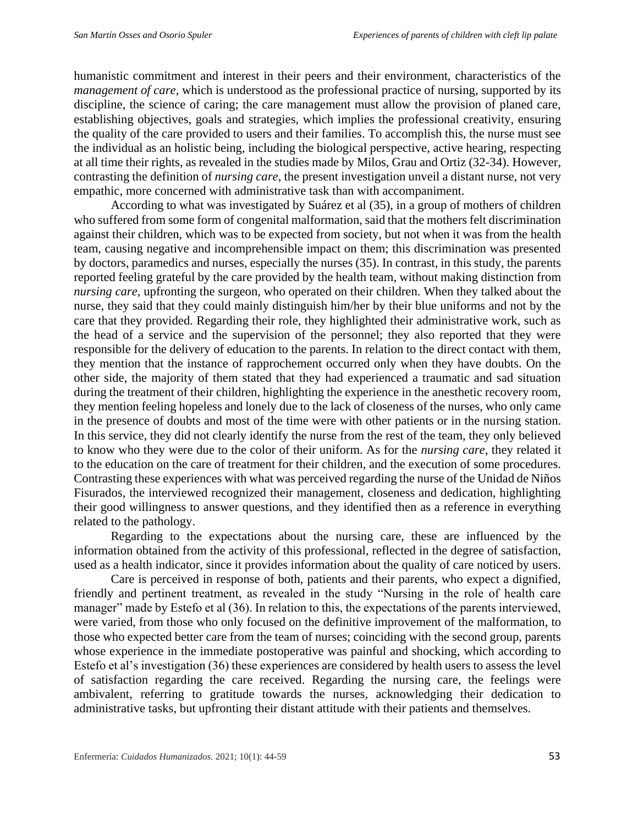humanistic commitment and interest in their peers and their environment, characteristics of the *management of care*, which is understood as the professional practice of nursing, supported by its discipline, the science of caring; the care management must allow the provision of planed care, establishing objectives, goals and strategies, which implies the professional creativity, ensuring the quality of the care provided to users and their families. To accomplish this, the nurse must see the individual as an holistic being, including the biological perspective, active hearing, respecting at all time their rights, as revealed in the studies made by Milos, Grau and Ortiz (32-34). However, contrasting the definition of *nursing care*, the present investigation unveil a distant nurse, not very empathic, more concerned with administrative task than with accompaniment.

According to what was investigated by Suárez et al (35), in a group of mothers of children who suffered from some form of congenital malformation, said that the mothers felt discrimination against their children, which was to be expected from society, but not when it was from the health team, causing negative and incomprehensible impact on them; this discrimination was presented by doctors, paramedics and nurses, especially the nurses (35). In contrast, in this study, the parents reported feeling grateful by the care provided by the health team, without making distinction from *nursing care*, upfronting the surgeon, who operated on their children. When they talked about the nurse, they said that they could mainly distinguish him/her by their blue uniforms and not by the care that they provided. Regarding their role, they highlighted their administrative work, such as the head of a service and the supervision of the personnel; they also reported that they were responsible for the delivery of education to the parents. In relation to the direct contact with them, they mention that the instance of rapprochement occurred only when they have doubts. On the other side, the majority of them stated that they had experienced a traumatic and sad situation during the treatment of their children, highlighting the experience in the anesthetic recovery room, they mention feeling hopeless and lonely due to the lack of closeness of the nurses, who only came in the presence of doubts and most of the time were with other patients or in the nursing station. In this service, they did not clearly identify the nurse from the rest of the team, they only believed to know who they were due to the color of their uniform. As for the *nursing care*, they related it to the education on the care of treatment for their children, and the execution of some procedures. Contrasting these experiences with what was perceived regarding the nurse of the Unidad de Niños Fisurados, the interviewed recognized their management, closeness and dedication, highlighting their good willingness to answer questions, and they identified then as a reference in everything related to the pathology.

Regarding to the expectations about the nursing care, these are influenced by the information obtained from the activity of this professional, reflected in the degree of satisfaction, used as a health indicator, since it provides information about the quality of care noticed by users.

Care is perceived in response of both, patients and their parents, who expect a dignified, friendly and pertinent treatment, as revealed in the study "Nursing in the role of health care manager" made by Estefo et al (36). In relation to this, the expectations of the parents interviewed, were varied, from those who only focused on the definitive improvement of the malformation, to those who expected better care from the team of nurses; coinciding with the second group, parents whose experience in the immediate postoperative was painful and shocking, which according to Estefo et al's investigation (36) these experiences are considered by health users to assess the level of satisfaction regarding the care received. Regarding the nursing care, the feelings were ambivalent, referring to gratitude towards the nurses, acknowledging their dedication to administrative tasks, but upfronting their distant attitude with their patients and themselves.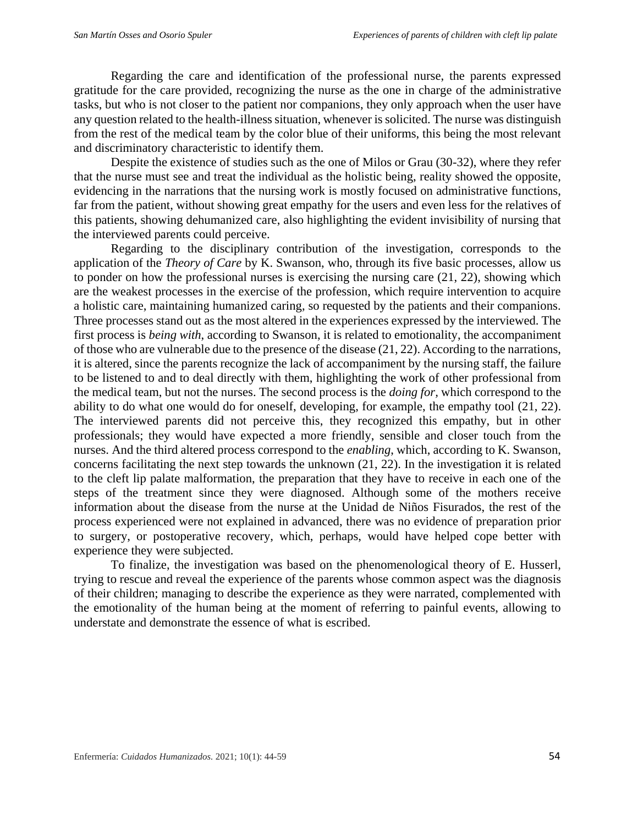Regarding the care and identification of the professional nurse, the parents expressed gratitude for the care provided, recognizing the nurse as the one in charge of the administrative tasks, but who is not closer to the patient nor companions, they only approach when the user have any question related to the health-illness situation, whenever is solicited. The nurse was distinguish from the rest of the medical team by the color blue of their uniforms, this being the most relevant and discriminatory characteristic to identify them.

Despite the existence of studies such as the one of Milos or Grau (30-32), where they refer that the nurse must see and treat the individual as the holistic being, reality showed the opposite, evidencing in the narrations that the nursing work is mostly focused on administrative functions, far from the patient, without showing great empathy for the users and even less for the relatives of this patients, showing dehumanized care, also highlighting the evident invisibility of nursing that the interviewed parents could perceive.

Regarding to the disciplinary contribution of the investigation, corresponds to the application of the *Theory of Care* by K. Swanson, who, through its five basic processes, allow us to ponder on how the professional nurses is exercising the nursing care (21, 22), showing which are the weakest processes in the exercise of the profession, which require intervention to acquire a holistic care, maintaining humanized caring, so requested by the patients and their companions. Three processes stand out as the most altered in the experiences expressed by the interviewed. The first process is *being with*, according to Swanson, it is related to emotionality, the accompaniment of those who are vulnerable due to the presence of the disease (21, 22). According to the narrations, it is altered, since the parents recognize the lack of accompaniment by the nursing staff, the failure to be listened to and to deal directly with them, highlighting the work of other professional from the medical team, but not the nurses. The second process is the *doing for,* which correspond to the ability to do what one would do for oneself, developing, for example, the empathy tool (21, 22). The interviewed parents did not perceive this, they recognized this empathy, but in other professionals; they would have expected a more friendly, sensible and closer touch from the nurses. And the third altered process correspond to the *enabling*, which, according to K. Swanson, concerns facilitating the next step towards the unknown (21, 22). In the investigation it is related to the cleft lip palate malformation, the preparation that they have to receive in each one of the steps of the treatment since they were diagnosed. Although some of the mothers receive information about the disease from the nurse at the Unidad de Niños Fisurados, the rest of the process experienced were not explained in advanced, there was no evidence of preparation prior to surgery, or postoperative recovery, which, perhaps, would have helped cope better with experience they were subjected.

To finalize, the investigation was based on the phenomenological theory of E. Husserl, trying to rescue and reveal the experience of the parents whose common aspect was the diagnosis of their children; managing to describe the experience as they were narrated, complemented with the emotionality of the human being at the moment of referring to painful events, allowing to understate and demonstrate the essence of what is escribed.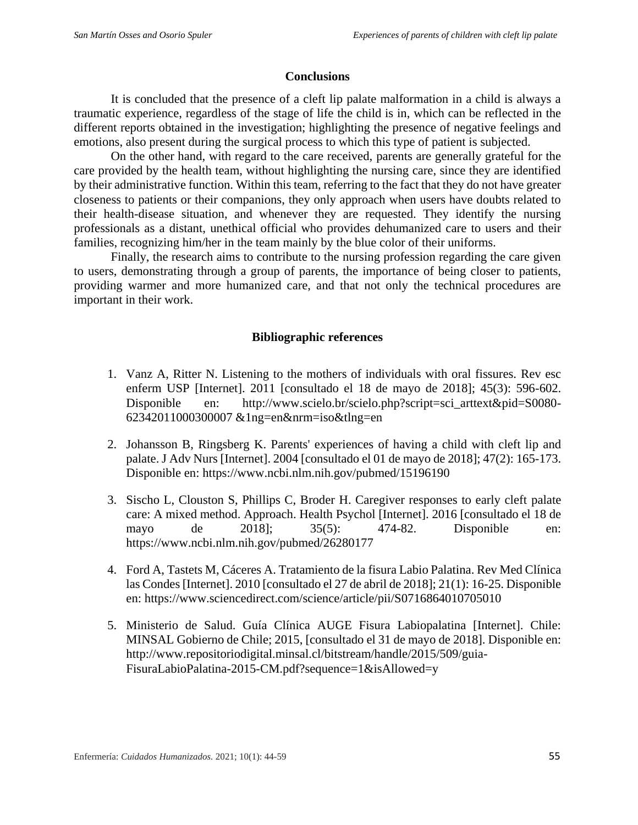## **Conclusions**

It is concluded that the presence of a cleft lip palate malformation in a child is always a traumatic experience, regardless of the stage of life the child is in, which can be reflected in the different reports obtained in the investigation; highlighting the presence of negative feelings and emotions, also present during the surgical process to which this type of patient is subjected.

On the other hand, with regard to the care received, parents are generally grateful for the care provided by the health team, without highlighting the nursing care, since they are identified by their administrative function. Within this team, referring to the fact that they do not have greater closeness to patients or their companions, they only approach when users have doubts related to their health-disease situation, and whenever they are requested. They identify the nursing professionals as a distant, unethical official who provides dehumanized care to users and their families, recognizing him/her in the team mainly by the blue color of their uniforms.

Finally, the research aims to contribute to the nursing profession regarding the care given to users, demonstrating through a group of parents, the importance of being closer to patients, providing warmer and more humanized care, and that not only the technical procedures are important in their work.

### **Bibliographic references**

- 1. Vanz A, Ritter N. Listening to the mothers of individuals with oral fissures. Rev esc enferm USP [Internet]. 2011 [consultado el 18 de mayo de 2018]; 45(3): 596-602. Disponible en: http://www.scielo.br/scielo.php?script=sci\_arttext&pid=S0080-62342011000300007 &1ng=en&nrm=iso&tlng=en
- 2. Johansson B, Ringsberg K. Parents' experiences of having a child with cleft lip and palate. J Adv Nurs [Internet]. 2004 [consultado el 01 de mayo de 2018]; 47(2): 165-173. Disponible en: https://www.ncbi.nlm.nih.gov/pubmed/15196190
- 3. Sischo L, Clouston S, Phillips C, Broder H. Caregiver responses to early cleft palate care: A mixed method. Approach. Health Psychol [Internet]. 2016 [consultado el 18 de mayo de 2018]; 35(5): 474-82. Disponible en: https://www.ncbi.nlm.nih.gov/pubmed/26280177
- 4. Ford A, Tastets M, Cáceres A. Tratamiento de la fisura Labio Palatina. Rev Med Clínica las Condes [Internet]. 2010 [consultado el 27 de abril de 2018]; 21(1): 16-25. Disponible en: https://www.sciencedirect.com/science/article/pii/S0716864010705010
- 5. Ministerio de Salud. Guía Clínica AUGE Fisura Labiopalatina [Internet]. Chile: MINSAL Gobierno de Chile; 2015, [consultado el 31 de mayo de 2018]. Disponible en: http://www.repositoriodigital.minsal.cl/bitstream/handle/2015/509/guia-FisuraLabioPalatina-2015-CM.pdf?sequence=1&isAllowed=y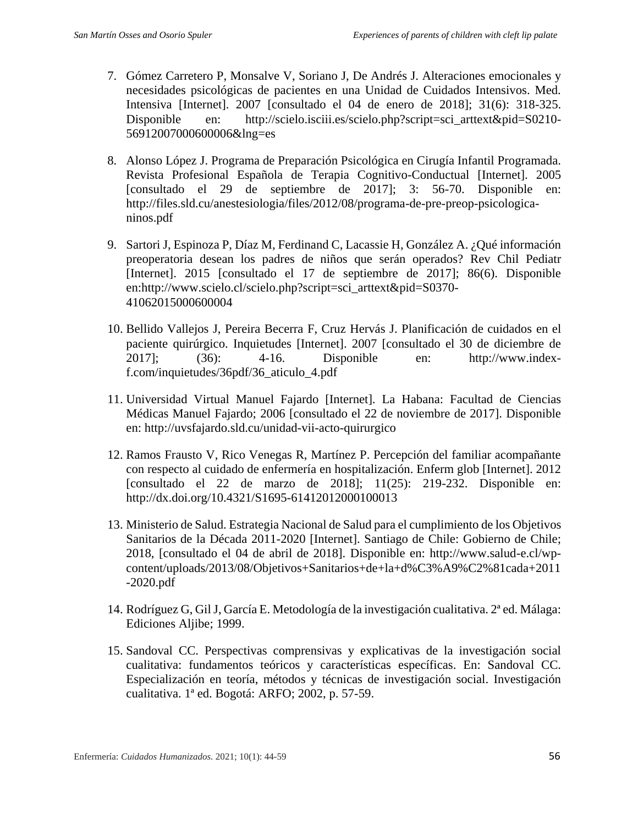- 7. Gómez Carretero P, Monsalve V, Soriano J, De Andrés J. Alteraciones emocionales y necesidades psicológicas de pacientes en una Unidad de Cuidados Intensivos. Med. Intensiva [Internet]. 2007 [consultado el 04 de enero de 2018]; 31(6): 318-325. Disponible en: http://scielo.isciii.es/scielo.php?script=sci\_arttext&pid=S0210-56912007000600006&lng=es
- 8. Alonso López J. Programa de Preparación Psicológica en Cirugía Infantil Programada. Revista Profesional Española de Terapia Cognitivo-Conductual [Internet]. 2005 [consultado el 29 de septiembre de 2017]; 3: 56-70. Disponible en: http://files.sld.cu/anestesiologia/files/2012/08/programa-de-pre-preop-psicologicaninos.pdf
- 9. Sartori J, Espinoza P, Díaz M, Ferdinand C, Lacassie H, González A. ¿Qué información preoperatoria desean los padres de niños que serán operados? Rev Chil Pediatr [Internet]. 2015 [consultado el 17 de septiembre de 2017]; 86(6). Disponible en:http://www.scielo.cl/scielo.php?script=sci\_arttext&pid=S0370- 41062015000600004
- 10. Bellido Vallejos J, Pereira Becerra F, Cruz Hervás J. Planificación de cuidados en el paciente quirúrgico. Inquietudes [Internet]. 2007 [consultado el 30 de diciembre de 2017]; (36): 4-16. Disponible en: http://www.indexf.com/inquietudes/36pdf/36\_aticulo\_4.pdf
- 11. Universidad Virtual Manuel Fajardo [Internet]. La Habana: Facultad de Ciencias Médicas Manuel Fajardo; 2006 [consultado el 22 de noviembre de 2017]. Disponible en: http://uvsfajardo.sld.cu/unidad-vii-acto-quirurgico
- 12. Ramos Frausto V, Rico Venegas R, Martínez P. Percepción del familiar acompañante con respecto al cuidado de enfermería en hospitalización. Enferm glob [Internet]. 2012 [consultado el 22 de marzo de 2018]; 11(25): 219-232. Disponible en: http://dx.doi.org/10.4321/S1695-61412012000100013
- 13. Ministerio de Salud. Estrategia Nacional de Salud para el cumplimiento de los Objetivos Sanitarios de la Década 2011-2020 [Internet]. Santiago de Chile: Gobierno de Chile; 2018, [consultado el 04 de abril de 2018]. Disponible en: http://www.salud-e.cl/wpcontent/uploads/2013/08/Objetivos+Sanitarios+de+la+d%C3%A9%C2%81cada+2011 -2020.pdf
- 14. Rodríguez G, Gil J, García E. Metodología de la investigación cualitativa. 2ª ed. Málaga: Ediciones Aljibe; 1999.
- 15. Sandoval CC. Perspectivas comprensivas y explicativas de la investigación social cualitativa: fundamentos teóricos y características específicas. En: Sandoval CC. Especialización en teoría, métodos y técnicas de investigación social. Investigación cualitativa. 1ª ed. Bogotá: ARFO; 2002, p. 57-59.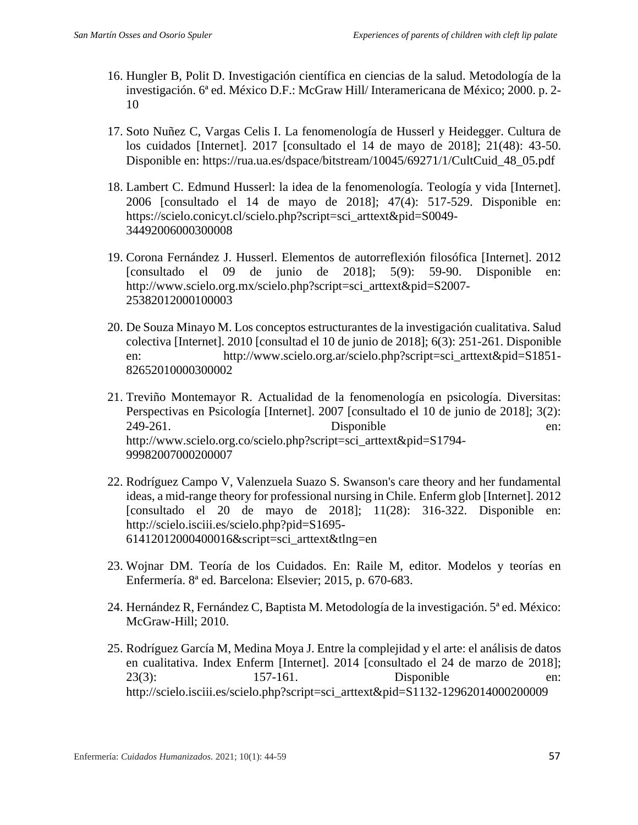- 16. Hungler B, Polit D. Investigación científica en ciencias de la salud. Metodología de la investigación. 6ª ed. México D.F.: McGraw Hill/ Interamericana de México; 2000. p. 2- 10
- 17. Soto Nuñez C, Vargas Celis I. La fenomenología de Husserl y Heidegger. Cultura de los cuidados [Internet]. 2017 [consultado el 14 de mayo de 2018]; 21(48): 43-50. Disponible en: https://rua.ua.es/dspace/bitstream/10045/69271/1/CultCuid\_48\_05.pdf
- 18. Lambert C. Edmund Husserl: la idea de la fenomenología. Teología y vida [Internet]. 2006 [consultado el 14 de mayo de 2018]; 47(4): 517-529. Disponible en: https://scielo.conicyt.cl/scielo.php?script=sci\_arttext&pid=S0049- 34492006000300008
- 19. Corona Fernández J. Husserl. Elementos de autorreflexión filosófica [Internet]. 2012 [consultado el 09 de junio de 2018]; 5(9): 59-90. Disponible en: http://www.scielo.org.mx/scielo.php?script=sci\_arttext&pid=S2007- 25382012000100003
- 20. De Souza Minayo M. Los conceptos estructurantes de la investigación cualitativa. Salud colectiva [Internet]. 2010 [consultad el 10 de junio de 2018]; 6(3): 251-261. Disponible en: http://www.scielo.org.ar/scielo.php?script=sci\_arttext&pid=S1851- 82652010000300002
- 21. Treviño Montemayor R. Actualidad de la fenomenología en psicología. Diversitas: Perspectivas en Psicología [Internet]. 2007 [consultado el 10 de junio de 2018]; 3(2): 249-261. Disponible en: http://www.scielo.org.co/scielo.php?script=sci\_arttext&pid=S1794- 99982007000200007
- 22. Rodríguez Campo V, Valenzuela Suazo S. Swanson's care theory and her fundamental ideas, a mid-range theory for professional nursing in Chile. Enferm glob [Internet]. 2012 [consultado el 20 de mayo de 2018]; 11(28): 316-322. Disponible en: http://scielo.isciii.es/scielo.php?pid=S1695- 61412012000400016&script=sci\_arttext&tlng=en
- 23. Wojnar DM. Teoría de los Cuidados. En: Raile M, editor. Modelos y teorías en Enfermería. 8ª ed. Barcelona: Elsevier; 2015, p. 670-683.
- 24. Hernández R, Fernández C, Baptista M. Metodología de la investigación. 5ª ed. México: McGraw-Hill; 2010.
- 25. Rodríguez García M, Medina Moya J. Entre la complejidad y el arte: el análisis de datos en cualitativa. Index Enferm [Internet]. 2014 [consultado el 24 de marzo de 2018]; 23(3): 157-161. Disponible en: http://scielo.isciii.es/scielo.php?script=sci\_arttext&pid=S1132-12962014000200009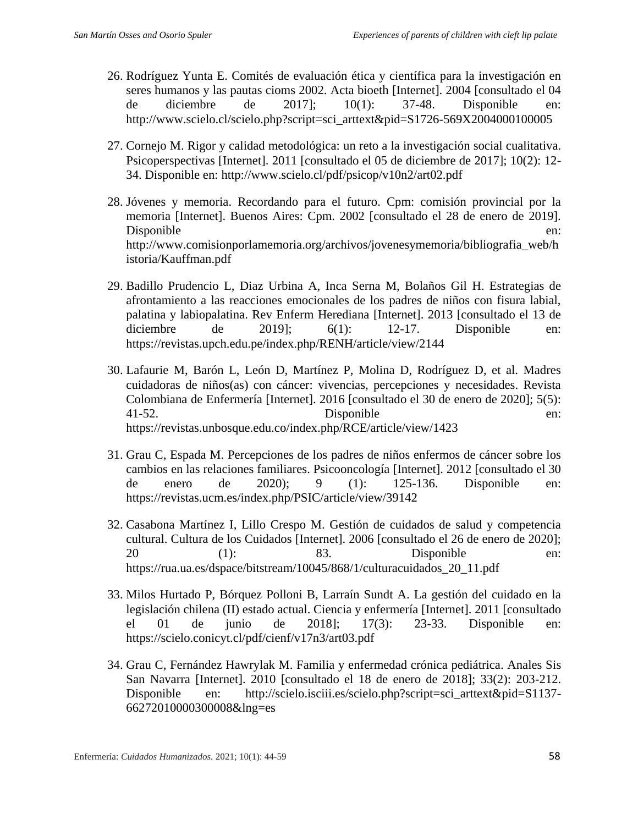- 26. Rodríguez Yunta E. Comités de evaluación ética y científica para la investigación en seres humanos y las pautas cioms 2002. Acta bioeth [Internet]. 2004 [consultado el 04 de diciembre de 2017]; 10(1): 37-48. Disponible en: http://www.scielo.cl/scielo.php?script=sci\_arttext&pid=S1726-569X2004000100005
- 27. Cornejo M. Rigor y calidad metodológica: un reto a la investigación social cualitativa. Psicoperspectivas [Internet]. 2011 [consultado el 05 de diciembre de 2017]; 10(2): 12- 34. Disponible en: http://www.scielo.cl/pdf/psicop/v10n2/art02.pdf
- 28. Jóvenes y memoria. Recordando para el futuro. Cpm: comisión provincial por la memoria [Internet]. Buenos Aires: Cpm. 2002 [consultado el 28 de enero de 2019]. Disponible en: http://www.comisionporlamemoria.org/archivos/jovenesymemoria/bibliografia\_web/h istoria/Kauffman.pdf
- 29. Badillo Prudencio L, Diaz Urbina A, Inca Serna M, Bolaños Gil H. Estrategias de afrontamiento a las reacciones emocionales de los padres de niños con fisura labial, palatina y labiopalatina. Rev Enferm Herediana [Internet]. 2013 [consultado el 13 de diciembre de  $2019$ ;  $6(1)$ :  $12-17$ . Disponible en: https://revistas.upch.edu.pe/index.php/RENH/article/view/2144
- 30. Lafaurie M, Barón L, León D, Martínez P, Molina D, Rodríguez D, et al. Madres cuidadoras de niños(as) con cáncer: vivencias, percepciones y necesidades. Revista Colombiana de Enfermería [Internet]. 2016 [consultado el 30 de enero de 2020]; 5(5): 41-52. Disponible en: https://revistas.unbosque.edu.co/index.php/RCE/article/view/1423
- 31. Grau C, Espada M. Percepciones de los padres de niños enfermos de cáncer sobre los cambios en las relaciones familiares. Psicooncología [Internet]. 2012 [consultado el 30 de enero de 2020); 9 (1): 125-136. Disponible en: https://revistas.ucm.es/index.php/PSIC/article/view/39142
- 32. Casabona Martínez I, Lillo Crespo M. Gestión de cuidados de salud y competencia cultural. Cultura de los Cuidados [Internet]. 2006 [consultado el 26 de enero de 2020]; 20 (1): 83. Disponible en: https://rua.ua.es/dspace/bitstream/10045/868/1/culturacuidados\_20\_11.pdf
- 33. Milos Hurtado P, Bórquez Polloni B, Larraín Sundt A. La gestión del cuidado en la legislación chilena (II) estado actual. Ciencia y enfermería [Internet]. 2011 [consultado el 01 de junio de 2018]; 17(3): 23-33. Disponible en: https://scielo.conicyt.cl/pdf/cienf/v17n3/art03.pdf
- 34. Grau C, Fernández Hawrylak M. Familia y enfermedad crónica pediátrica. Anales Sis San Navarra [Internet]. 2010 [consultado el 18 de enero de 2018]; 33(2): 203-212. Disponible en: http://scielo.isciii.es/scielo.php?script=sci\_arttext&pid=S1137-66272010000300008&lng=es